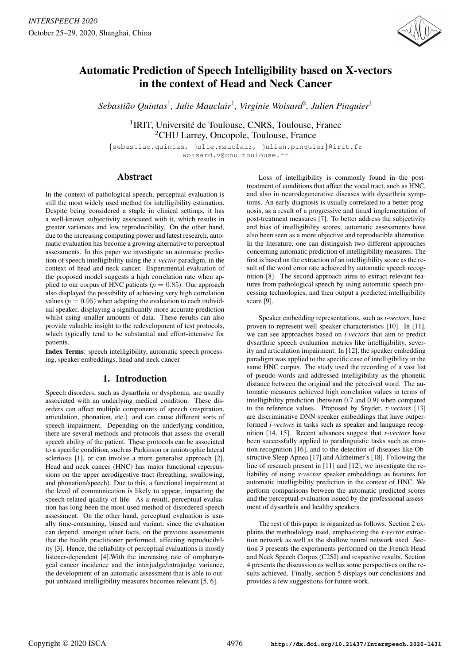

# Automatic Prediction of Speech Intelligibility based on X-vectors in the context of Head and Neck Cancer

 $Sebasti\tilde{a}o$  Quintas<sup>1</sup>, Julie Mauclair<sup>1</sup>, Virginie Woisard<sup>2</sup>, Julien Pinquier<sup>1</sup>

<sup>1</sup>IRIT, Université de Toulouse, CNRS, Toulouse, France <sup>2</sup>CHU Larrey, Oncopole, Toulouse, France

{sebastiao.quintas, julie.mauclair, julien.pinquier}@irit.fr woisard.v@chu-toulouse.fr

# Abstract

In the context of pathological speech, perceptual evaluation is still the most widely used method for intelligibility estimation. Despite being considered a staple in clinical settings, it has a well-known subjectivity associated with it, which results in greater variances and low reproducibility. On the other hand, due to the increasing computing power and latest research, automatic evaluation has become a growing alternative to perceptual assessments. In this paper we investigate an automatic prediction of speech intelligibility using the *x-vector* paradigm, in the context of head and neck cancer. Experimental evaluation of the proposed model suggests a high correlation rate when applied to our corpus of HNC patients ( $p = 0.85$ ). Our approach also displayed the possibility of achieving very high correlation values ( $p = 0.95$ ) when adapting the evaluation to each individual speaker, displaying a significantly more accurate prediction whilst using smaller amounts of data. These results can also provide valuable insight to the redevelopment of test protocols, which typically tend to be substantial and effort-intensive for patients.

Index Terms: speech intelligibility, automatic speech processing, speaker embeddings, head and neck cancer

# 1. Introduction

Speech disorders, such as dysarthria or dysphonia, are usually associated with an underlying medical condition. These disorders can affect multiple components of speech (respiration, articulation, phonation, etc.) and can cause different sorts of speech impairment. Depending on the underlying condition, there are several methods and protocols that assess the overall speech ability of the patient. These protocols can be associated to a specific condition, such as Parkinson or amiotrophic lateral scleriosis [1], or can involve a more generalist approach [2]. Head and neck cancer (HNC) has major functional repercussions on the upper aerodigestive tract (breathing, swallowing, and phonation/speech). Due to this, a functional impairment at the level of communication is likely to appear, impacting the speech-related quality of life. As a result, perceptual evaluation has long been the most used method of disordered speech assessment. On the other hand, perceptual evaluation is usually time-consuming, biased and variant, since the evaluation can depend, amongst other facts, on the previous assessments that the health practitioner performed, affecting reproducibility [3]. Hence, the reliability of perceptual evaluations is mostly listener-dependent [4].With the increasing rate of oropharyngeal cancer incidence and the interjudge/intrajudge variance, the development of an automatic assessment that is able to output unbiased intelligibility measures becomes relevant [5, 6].

Loss of intelligibility is commonly found in the posttreatment of conditions that affect the vocal tract, such as HNC, and also in neurodegenerative diseases with dysarthria symptoms. An early diagnosis is usually correlated to a better prognosis, as a result of a progressive and timed implementation of post-treatment measures [7]. To better address the subjectivity and bias of intelligibility scores, automatic assessments have also been seen as a more objective and reproducible alternative. In the literature, one can distinguish two different approaches concerning automatic prediction of intelligibility measures. The first is based on the extraction of an intelligibility score as the result of the word error rate achieved by automatic speech recognition [8]. The second approach aims to extract relevant features from pathological speech by using automatic speech processing technologies, and then output a predicted intelligibility score [9].

Speaker embedding representations, such as *i-vectors*, have proven to represent well speaker characteristics [10]. In [11], we can see approaches based on *i-vectors* that aim to predict dysarthric speech evaluation metrics like intelligibility, severity and articulation impairment. In [12], the speaker embedding paradigm was applied to the specific case of intelligibility in the same HNC corpus. The study used the recording of a vast list of pseudo-words and addressed intelligibility as the phonetic distance between the original and the perceived word. The automatic measures achieved high correlation values in terms of intelligibility prediction (between 0.7 and 0.9) when compared to the reference values. Proposed by Snyder, *x-vectors* [13] are discriminative DNN speaker embeddings that have outperformed *i-vectors* in tasks such as speaker and language recognition [14, 15]. Recent advances suggest that *x-vectors* have been successfully applied to paralinguistic tasks such as emotion recognition [16], and to the detection of diseases like Obstructive Sleep Apnea [17] and Alzheimer's [18]. Following the line of research present in [11] and [12], we investigate the reliability of using *x-vector* speaker embeddings as features for automatic intelligibility prediction in the context of HNC. We perform comparisons between the automatic predicted scores and the perceptual evaluation issued by the professional assessment of dysarthria and healthy speakers.

The rest of this paper is organized as follows. Section 2 explains the methodology used, emphasizing the *x-vector* extraction network as well as the shallow neural network used. Section 3 presents the experiments performed on the French Head and Neck Speech Corpus (C2SI) and respective results. Section 4 presents the discussion as well as some perspectives on the results achieved. Finally, section 5 displays our conclusions and provides a few suggestions for future work.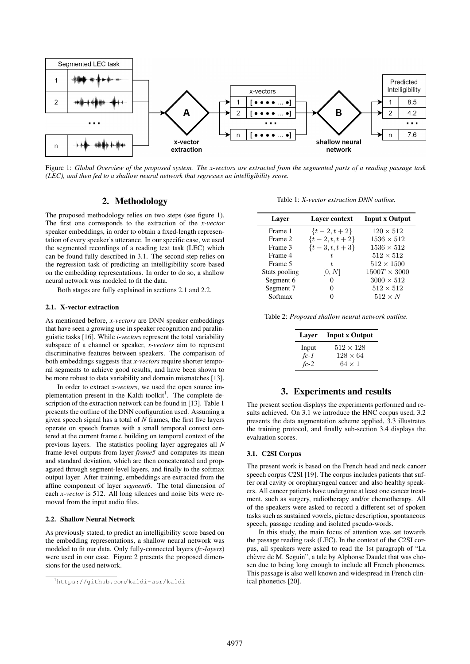

Figure 1: *Global Overview of the proposed system. The x-vectors are extracted from the segmented parts of a reading passage task (LEC), and then fed to a shallow neural network that regresses an intelligibility score.*

# 2. Methodology

The proposed methodology relies on two steps (see figure 1). The first one corresponds to the extraction of the *x-vector* speaker embeddings, in order to obtain a fixed-length representation of every speaker's utterance. In our specific case, we used the segmented recordings of a reading text task (LEC) which can be found fully described in 3.1. The second step relies on the regression task of predicting an intelligibility score based on the embedding representations. In order to do so, a shallow neural network was modeled to fit the data.

Both stages are fully explained in sections 2.1 and 2.2.

### 2.1. X-vector extraction

As mentioned before, *x-vectors* are DNN speaker embeddings that have seen a growing use in speaker recognition and paralinguistic tasks [16]. While *i-vectors* represent the total variability subspace of a channel or speaker, *x-vectors* aim to represent discriminative features between speakers. The comparison of both embeddings suggests that *x-vectors* require shorter temporal segments to achieve good results, and have been shown to be more robust to data variability and domain mismatches [13].

In order to extract *x-vectors*, we used the open source implementation present in the Kaldi toolkit<sup>1</sup>. The complete description of the extraction network can be found in [13]. Table 1 presents the outline of the DNN configuration used. Assuming a given speech signal has a total of *N* frames, the first five layers operate on speech frames with a small temporal context centered at the current frame *t*, building on temporal context of the previous layers. The statistics pooling layer aggregates all *N* frame-level outputs from layer *frame5* and computes its mean and standard deviation, which are then concatenated and propagated through segment-level layers, and finally to the softmax output layer. After training, embeddings are extracted from the affine component of layer *segment6*. The total dimension of each *x-vector* is 512. All long silences and noise bits were removed from the input audio files.

### 2.2. Shallow Neural Network

As previously stated, to predict an intelligibility score based on the embedding representations, a shallow neural network was modeled to fit our data. Only fully-connected layers (*fc-layers*) were used in our case. Figure 2 presents the proposed dimensions for the used network.

Table 1: *X-vector extraction DNN outline.*

| Laver         | Layer context     | <b>Input x Output</b> |  |
|---------------|-------------------|-----------------------|--|
| Frame 1       | $\{t-2, t+2\}$    | $120 \times 512$      |  |
| Frame 2       | $\{t-2, t, t+2\}$ | $1536 \times 512$     |  |
| Frame 3       | $\{t-3, t, t+3\}$ | $1536 \times 512$     |  |
| Frame 4       | t.                | $512 \times 512$      |  |
| Frame 5       | t.                | $512 \times 1500$     |  |
| Stats pooling | [0,N]             | $1500T \times 3000$   |  |
| Segment 6     |                   | $3000 \times 512$     |  |
| Segment 7     |                   | $512 \times 512$      |  |
| Softmax       |                   | $512 \times N$        |  |

Table 2: *Proposed shallow neural network outline.*

| Layer  | <b>Input x Output</b> |  |
|--------|-----------------------|--|
| Input  | $512 \times 128$      |  |
| $fc-1$ | $128 \times 64$       |  |
| $fc-2$ | $64 \times 1$         |  |

### 3. Experiments and results

The present section displays the experiments performed and results achieved. On 3.1 we introduce the HNC corpus used, 3.2 presents the data augmentation scheme applied, 3.3 illustrates the training protocol, and finally sub-section 3.4 displays the evaluation scores.

#### 3.1. C2SI Corpus

The present work is based on the French head and neck cancer speech corpus C2SI [19]. The corpus includes patients that suffer oral cavity or oropharyngeal cancer and also healthy speakers. All cancer patients have undergone at least one cancer treatment, such as surgery, radiotherapy and/or chemotherapy. All of the speakers were asked to record a different set of spoken tasks such as sustained vowels, picture description, spontaneous speech, passage reading and isolated pseudo-words.

In this study, the main focus of attention was set towards the passage reading task (LEC). In the context of the C2SI corpus, all speakers were asked to read the 1st paragraph of "La chèvre de M. Seguin", a tale by Alphonse Daudet that was chosen due to being long enough to include all French phonemes. This passage is also well known and widespread in French clinical phonetics [20].

<sup>1</sup>https://github.com/kaldi-asr/kaldi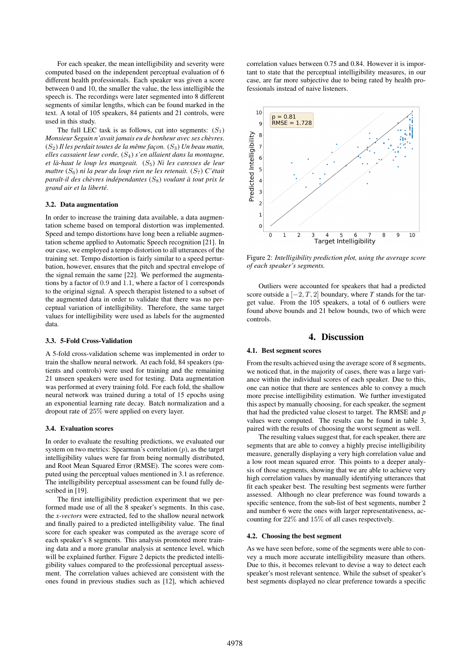For each speaker, the mean intelligibility and severity were computed based on the independent perceptual evaluation of 6 different health professionals. Each speaker was given a score between 0 and 10, the smaller the value, the less intelligible the speech is. The recordings were later segmented into 8 different segments of similar lengths, which can be found marked in the text. A total of 105 speakers, 84 patients and 21 controls, were used in this study.

The full LEC task is as follows, cut into segments:  $(S_1)$ *Monsieur Seguin n'avait jamais eu de bonheur avec ses chevres. `* (S2) *Il les perdait toutes de la meme fac¸on. ˆ* (S3) *Un beau matin, elles cassaient leur corde,* (S4) *s'en allaient dans la montagne, et la-haut le loup les mangeait. `* (S5) *Ni les caresses de leur maître*  $(S_6)$  *ni la peur du loup rien ne les retenait.*  $(S_7)$  *C'était paraît-il des chèvres indépendantes* (S<sub>8</sub>) *voulant à tout prix le grand air et la liberte.´*

#### 3.2. Data augmentation

In order to increase the training data available, a data augmentation scheme based on temporal distortion was implemented. Speed and tempo distortions have long been a reliable augmentation scheme applied to Automatic Speech recognition [21]. In our case, we employed a tempo distortion to all utterances of the training set. Tempo distortion is fairly similar to a speed perturbation, however, ensures that the pitch and spectral envelope of the signal remain the same [22]. We performed the augmentations by a factor of 0.9 and 1.1, where a factor of 1 corresponds to the original signal. A speech therapist listened to a subset of the augmented data in order to validate that there was no perceptual variation of intelligibility. Therefore, the same target values for intelligibility were used as labels for the augmented data.

#### 3.3. 5-Fold Cross-Validation

A 5-fold cross-validation scheme was implemented in order to train the shallow neural network. At each fold, 84 speakers (patients and controls) were used for training and the remaining 21 unseen speakers were used for testing. Data augmentation was performed at every training fold. For each fold, the shallow neural network was trained during a total of 15 epochs using an exponential learning rate decay. Batch normalization and a dropout rate of 25% were applied on every layer.

#### 3.4. Evaluation scores

In order to evaluate the resulting predictions, we evaluated our system on two metrics: Spearman's correlation  $(p)$ , as the target intelligibility values were far from being normally distributed, and Root Mean Squared Error (RMSE). The scores were computed using the perceptual values mentioned in 3.1 as reference. The intelligibility perceptual assessment can be found fully described in [19].

The first intelligibility prediction experiment that we performed made use of all the 8 speaker's segments. In this case, the *x-vectors* were extracted, fed to the shallow neural network and finally paired to a predicted intelligibility value. The final score for each speaker was computed as the average score of each speaker's 8 segments. This analysis promoted more training data and a more granular analysis at sentence level, which will be explained further. Figure 2 depicts the predicted intelligibility values compared to the professional perceptual assessment. The correlation values achieved are consistent with the ones found in previous studies such as [12], which achieved correlation values between 0.75 and 0.84. However it is important to state that the perceptual intelligibility measures, in our case, are far more subjective due to being rated by health professionals instead of naive listeners.



Figure 2: *Intelligibility prediction plot, using the average score of each speaker's segments.*

Outliers were accounted for speakers that had a predicted score outside a  $[-2, T, 2]$  boundary, where *T* stands for the target value. From the 105 speakers, a total of 6 outliers were found above bounds and 21 below bounds, two of which were controls.

# 4. Discussion

#### 4.1. Best segment scores

From the results achieved using the average score of 8 segments, we noticed that, in the majority of cases, there was a large variance within the individual scores of each speaker. Due to this, one can notice that there are sentences able to convey a much more precise intelligibility estimation. We further investigated this aspect by manually choosing, for each speaker, the segment that had the predicted value closest to target. The RMSE and *p* values were computed. The results can be found in table 3, paired with the results of choosing the worst segment as well.

The resulting values suggest that, for each speaker, there are segments that are able to convey a highly precise intelligibility measure, generally displaying a very high correlation value and a low root mean squared error. This points to a deeper analysis of those segments, showing that we are able to achieve very high correlation values by manually identifying utterances that fit each speaker best. The resulting best segments were further assessed. Although no clear preference was found towards a specific sentence, from the sub-list of best segments, number 2 and number 6 were the ones with larger representativeness, accounting for 22% and 15% of all cases respectively.

#### 4.2. Choosing the best segment

As we have seen before, some of the segments were able to convey a much more accurate intelligibility measure than others. Due to this, it becomes relevant to devise a way to detect each speaker's most relevant sentence. While the subset of speaker's best segments displayed no clear preference towards a specific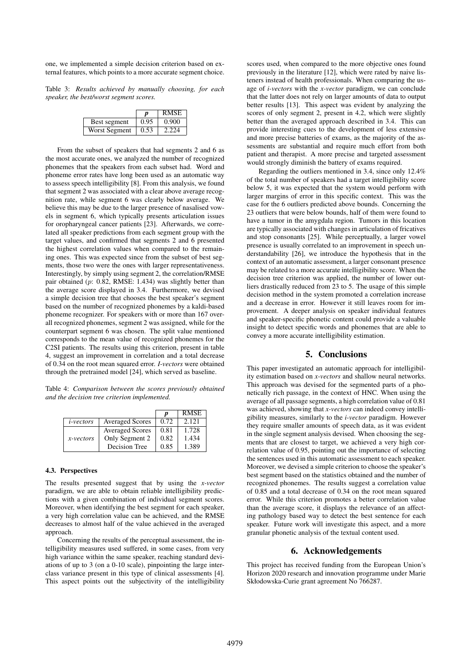one, we implemented a simple decision criterion based on external features, which points to a more accurate segment choice.

Table 3: *Results achieved by manually choosing, for each speaker, the best/worst segment scores.*

|                      |      | <b>RMSE</b> |
|----------------------|------|-------------|
| Best segment         | 0.95 | 0.900       |
| <b>Worst Segment</b> | 0.53 |             |

From the subset of speakers that had segments 2 and 6 as the most accurate ones, we analyzed the number of recognized phonemes that the speakers from each subset had. Word and phoneme error rates have long been used as an automatic way to assess speech intelligibility [8]. From this analysis, we found that segment 2 was associated with a clear above average recognition rate, while segment 6 was clearly below average. We believe this may be due to the larger presence of nasalised vowels in segment 6, which typically presents articulation issues for oropharyngeal cancer patients [23]. Afterwards, we correlated all speaker predictions from each segment group with the target values, and confirmed that segments 2 and 6 presented the highest correlation values when compared to the remaining ones. This was expected since from the subset of best segments, those two were the ones with larger representativeness. Interestingly, by simply using segment 2, the correlation/RMSE pair obtained  $(p: 0.82, RMSE: 1.434)$  was slightly better than the average score displayed in 3.4. Furthermore, we devised a simple decision tree that chooses the best speaker's segment based on the number of recognized phonemes by a kaldi-based phoneme recognizer. For speakers with or more than 167 overall recognized phonemes, segment 2 was assigned, while for the counterpart segment 6 was chosen. The split value mentioned corresponds to the mean value of recognized phonemes for the C2SI patients. The results using this criterion, present in table 4, suggest an improvement in correlation and a total decrease of 0.34 on the root mean squared error. *I-vectors* were obtained through the pretrained model [24], which served as baseline.

Table 4: *Comparison between the scores previously obtained and the decision tree criterion implemented.*

|                  |                        | n    | <b>RMSE</b> |
|------------------|------------------------|------|-------------|
| <i>i-vectors</i> | <b>Averaged Scores</b> | 0.72 | 2.121       |
|                  | <b>Averaged Scores</b> | 0.81 | 1.728       |
| $x$ -vectors     | Only Segment 2         | 0.82 | 1.434       |
|                  | Decision Tree          | 0.85 | 1.389       |

#### 4.3. Perspectives

The results presented suggest that by using the *x-vector* paradigm, we are able to obtain reliable intelligibility predictions with a given combination of individual segment scores. Moreover, when identifying the best segment for each speaker, a very high correlation value can be achieved, and the RMSE decreases to almost half of the value achieved in the averaged approach.

Concerning the results of the perceptual assessment, the intelligibility measures used suffered, in some cases, from very high variance within the same speaker, reaching standard deviations of up to 3 (on a 0-10 scale), pinpointing the large interclass variance present in this type of clinical assessments [4]. This aspect points out the subjectivity of the intelligibility scores used, when compared to the more objective ones found previously in the literature [12], which were rated by naive listeners instead of health professionals. When comparing the usage of *i-vectors* with the *x-vector* paradigm, we can conclude that the latter does not rely on larger amounts of data to output better results [13]. This aspect was evident by analyzing the scores of only segment 2, present in 4.2, which were slightly better than the averaged approach described in 3.4. This can provide interesting cues to the development of less extensive and more precise batteries of exams, as the majority of the assessments are substantial and require much effort from both patient and therapist. A more precise and targeted assessment would strongly diminish the battery of exams required.

Regarding the outliers mentioned in 3.4, since only 12.4% of the total number of speakers had a target intelligibility score below 5, it was expected that the system would perform with larger margins of error in this specific context. This was the case for the 6 outliers predicted above bounds. Concerning the 23 outliers that were below bounds, half of them were found to have a tumor in the amygdala region. Tumors in this location are typically associated with changes in articulation of fricatives and stop consonants [25]. While perceptually, a larger vowel presence is usually correlated to an improvement in speech understandability [26], we introduce the hypothesis that in the context of an automatic assessment, a larger consonant presence may be related to a more accurate intelligibility score. When the decision tree criterion was applied, the number of lower outliers drastically reduced from 23 to 5. The usage of this simple decision method in the system promoted a correlation increase and a decrease in error. However it still leaves room for improvement. A deeper analysis on speaker individual features and speaker-specific phonetic content could provide a valuable insight to detect specific words and phonemes that are able to convey a more accurate intelligibility estimation.

# 5. Conclusions

This paper investigated an automatic approach for intelligibility estimation based on *x-vectors* and shallow neural networks. This approach was devised for the segmented parts of a phonetically rich passage, in the context of HNC. When using the average of all passage segments, a high correlation value of 0.81 was achieved, showing that *x-vectors* can indeed convey intelligibility measures, similarly to the *i-vector* paradigm. However they require smaller amounts of speech data, as it was evident in the single segment analysis devised. When choosing the segments that are closest to target, we achieved a very high correlation value of 0.95, pointing out the importance of selecting the sentences used in this automatic assessment to each speaker. Moreover, we devised a simple criterion to choose the speaker's best segment based on the statistics obtained and the number of recognized phonemes. The results suggest a correlation value of 0.85 and a total decrease of 0.34 on the root mean squared error. While this criterion promotes a better correlation value than the average score, it displays the relevance of an affecting pathology based way to detect the best sentence for each speaker. Future work will investigate this aspect, and a more granular phonetic analysis of the textual content used.

# 6. Acknowledgements

This project has received funding from the European Union's Horizon 2020 research and innovation programme under Marie Skłodowska-Curie grant agreement No 766287.